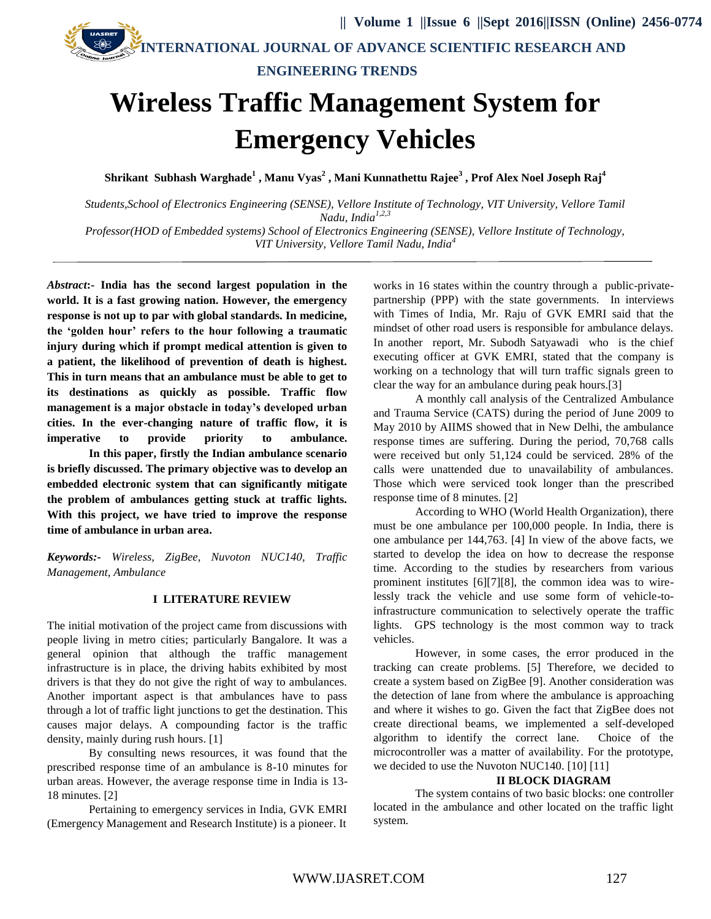**INTERNATIONAL JOURNAL OF ADVANCE SCIENTIFIC RESEARCH AND**

**ENGINEERING TRENDS**

# **Wireless Traffic Management System for Emergency Vehicles**

**Shrikant Subhash Warghade<sup>1</sup> , Manu Vyas<sup>2</sup> , Mani Kunnathettu Rajee<sup>3</sup> , Prof Alex Noel Joseph Raj<sup>4</sup>**

*Students,School of Electronics Engineering (SENSE), Vellore Institute of Technology, VIT University, Vellore Tamil Nadu, India1,2,3 Professor(HOD of Embedded systems) School of Electronics Engineering (SENSE), Vellore Institute of Technology,* 

*VIT University, Vellore Tamil Nadu, India<sup>4</sup>*

*Abstract***:- India has the second largest population in the world. It is a fast growing nation. However, the emergency response is not up to par with global standards. In medicine, the 'golden hour' refers to the hour following a traumatic injury during which if prompt medical attention is given to a patient, the likelihood of prevention of death is highest. This in turn means that an ambulance must be able to get to its destinations as quickly as possible. Traffic flow management is a major obstacle in today's developed urban cities. In the ever-changing nature of traffic flow, it is imperative to provide priority to ambulance. In this paper, firstly the Indian ambulance scenario is briefly discussed. The primary objective was to develop an embedded electronic system that can significantly mitigate the problem of ambulances getting stuck at traffic lights. With this project, we have tried to improve the response** 

*Keywords:- Wireless, ZigBee, Nuvoton NUC140, Traffic Management, Ambulance*

**time of ambulance in urban area.**

# **I LITERATURE REVIEW**

The initial motivation of the project came from discussions with people living in metro cities; particularly Bangalore. It was a general opinion that although the traffic management infrastructure is in place, the driving habits exhibited by most drivers is that they do not give the right of way to ambulances. Another important aspect is that ambulances have to pass through a lot of traffic light junctions to get the destination. This causes major delays. A compounding factor is the traffic density, mainly during rush hours. [1]

By consulting news resources, it was found that the prescribed response time of an ambulance is 8-10 minutes for urban areas. However, the average response time in India is 13- 18 minutes. [2]

Pertaining to emergency services in India, GVK EMRI (Emergency Management and Research Institute) is a pioneer. It

works in 16 states within the country through a public-privatepartnership (PPP) with the state governments. In interviews with Times of India, Mr. Raju of GVK EMRI said that the mindset of other road users is responsible for ambulance delays. In another report, Mr. Subodh Satyawadi who is the chief executing officer at GVK EMRI, stated that the company is working on a technology that will turn traffic signals green to clear the way for an ambulance during peak hours.[3]

A monthly call analysis of the Centralized Ambulance and Trauma Service (CATS) during the period of June 2009 to May 2010 by AIIMS showed that in New Delhi, the ambulance response times are suffering. During the period, 70,768 calls were received but only 51,124 could be serviced. 28% of the calls were unattended due to unavailability of ambulances. Those which were serviced took longer than the prescribed response time of 8 minutes. [2]

According to WHO (World Health Organization), there must be one ambulance per 100,000 people. In India, there is one ambulance per 144,763. [4] In view of the above facts, we started to develop the idea on how to decrease the response time. According to the studies by researchers from various prominent institutes [6][7][8], the common idea was to wirelessly track the vehicle and use some form of vehicle-toinfrastructure communication to selectively operate the traffic lights. GPS technology is the most common way to track vehicles.

However, in some cases, the error produced in the tracking can create problems. [5] Therefore, we decided to create a system based on ZigBee [9]. Another consideration was the detection of lane from where the ambulance is approaching and where it wishes to go. Given the fact that ZigBee does not create directional beams, we implemented a self-developed algorithm to identify the correct lane. Choice of the microcontroller was a matter of availability. For the prototype, we decided to use the Nuvoton NUC140. [10] [11]

#### **II BLOCK DIAGRAM**

The system contains of two basic blocks: one controller located in the ambulance and other located on the traffic light system.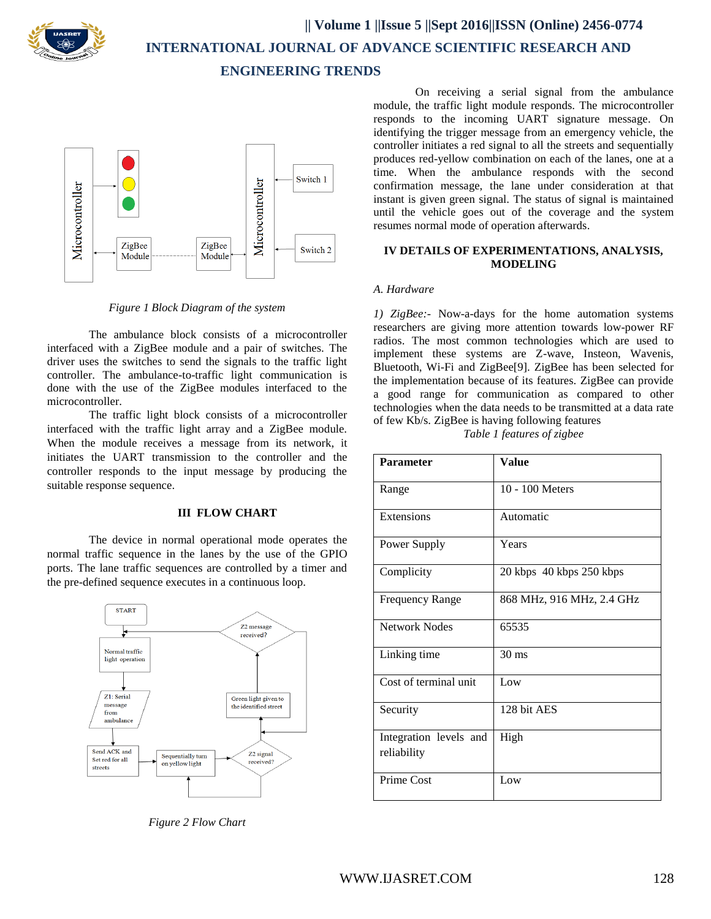

 **INTERNATIONAL JOURNAL OF ADVANCE SCIENTIFIC RESEARCH AND**

**ENGINEERING TRENDS**



*Figure 1 Block Diagram of the system*

The ambulance block consists of a microcontroller interfaced with a ZigBee module and a pair of switches. The driver uses the switches to send the signals to the traffic light controller. The ambulance-to-traffic light communication is done with the use of the ZigBee modules interfaced to the microcontroller.

The traffic light block consists of a microcontroller interfaced with the traffic light array and a ZigBee module. When the module receives a message from its network, it initiates the UART transmission to the controller and the controller responds to the input message by producing the suitable response sequence.

# **III FLOW CHART**

The device in normal operational mode operates the normal traffic sequence in the lanes by the use of the GPIO ports. The lane traffic sequences are controlled by a timer and the pre-defined sequence executes in a continuous loop.



*Figure 2 Flow Chart*

On receiving a serial signal from the ambulance module, the traffic light module responds. The microcontroller responds to the incoming UART signature message. On identifying the trigger message from an emergency vehicle, the controller initiates a red signal to all the streets and sequentially produces red-yellow combination on each of the lanes, one at a time. When the ambulance responds with the second confirmation message, the lane under consideration at that instant is given green signal. The status of signal is maintained until the vehicle goes out of the coverage and the system resumes normal mode of operation afterwards.

# **IV DETAILS OF EXPERIMENTATIONS, ANALYSIS, MODELING**

# *A. Hardware*

*1) ZigBee:-* Now-a-days for the home automation systems researchers are giving more attention towards low-power RF radios. The most common technologies which are used to implement these systems are Z-wave, Insteon, Wavenis, Bluetooth, Wi-Fi and ZigBee[9]. ZigBee has been selected for the implementation because of its features. ZigBee can provide a good range for communication as compared to other technologies when the data needs to be transmitted at a data rate of few Kb/s. ZigBee is having following features

*Table 1 features of zigbee*

| Parameter                             | <b>Value</b>              |
|---------------------------------------|---------------------------|
| Range                                 | 10 - 100 Meters           |
| Extensions                            | Automatic                 |
| Power Supply                          | Years                     |
| Complicity                            | 20 kbps 40 kbps 250 kbps  |
| <b>Frequency Range</b>                | 868 MHz, 916 MHz, 2.4 GHz |
| <b>Network Nodes</b>                  | 65535                     |
| Linking time                          | $30 \text{ ms}$           |
| Cost of terminal unit                 | Low                       |
| Security                              | 128 bit AES               |
| Integration levels and<br>reliability | High                      |
| Prime Cost                            | Low                       |

WWW.IJASRET.COM 128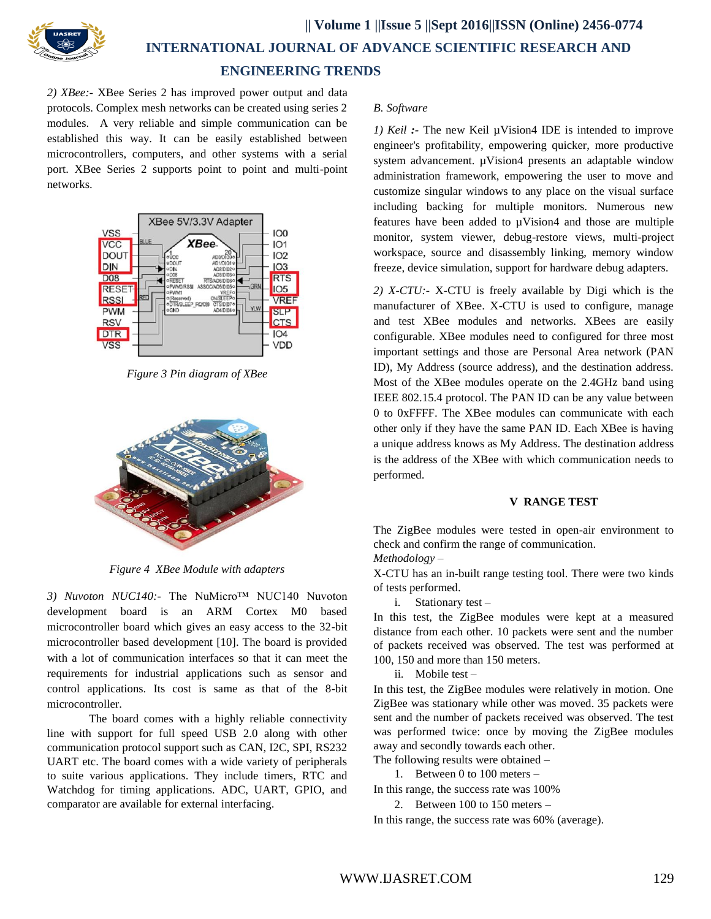

 **INTERNATIONAL JOURNAL OF ADVANCE SCIENTIFIC RESEARCH AND**

# **ENGINEERING TRENDS**

*2) XBee:-* XBee Series 2 has improved power output and data protocols. Complex mesh networks can be created using series 2 modules. A very reliable and simple communication can be established this way. It can be easily established between microcontrollers, computers, and other systems with a serial port. XBee Series 2 supports point to point and multi-point networks.



*Figure 3 Pin diagram of XBee*



*Figure 4 XBee Module with adapters*

*3) Nuvoton NUC140:-* The NuMicro™ NUC140 Nuvoton development board is an ARM Cortex M0 based microcontroller board which gives an easy access to the 32-bit microcontroller based development [10]. The board is provided with a lot of communication interfaces so that it can meet the requirements for industrial applications such as sensor and control applications. Its cost is same as that of the 8-bit microcontroller.

The board comes with a highly reliable connectivity line with support for full speed USB 2.0 along with other communication protocol support such as CAN, I2C, SPI, RS232 UART etc. The board comes with a wide variety of peripherals to suite various applications. They include timers, RTC and Watchdog for timing applications. ADC, UART, GPIO, and comparator are available for external interfacing.

# *B. Software*

*1) Keil :-* The new Keil µVision4 IDE is intended to improve engineer's profitability, empowering quicker, more productive system advancement. µVision4 presents an adaptable window administration framework, empowering the user to move and customize singular windows to any place on the visual surface including backing for multiple monitors. Numerous new features have been added to µVision4 and those are [multiple](http://www.keil.com/uvision/uV4_FlexWin.asp)  [monitor,](http://www.keil.com/uvision/uV4_FlexWin.asp) system viewer, debug-restore views, multi-project workspace, source and disassembly linking, memory window freeze, device simulation, support for hardware debug adapters.

*2) X-CTU:-* X-CTU is freely available by Digi which is the manufacturer of XBee. X-CTU is used to configure, manage and test XBee modules and networks. XBees are easily configurable. XBee modules need to configured for three most important settings and those are Personal Area network (PAN ID), My Address (source address), and the destination address. Most of the XBee modules operate on the 2.4GHz band using IEEE 802.15.4 protocol. The PAN ID can be any value between 0 to 0xFFFF. The XBee modules can communicate with each other only if they have the same PAN ID. Each XBee is having a unique address knows as My Address. The destination address is the address of the XBee with which communication needs to performed.

# **V RANGE TEST**

The ZigBee modules were tested in open-air environment to check and confirm the range of communication.

*Methodology –*

X-CTU has an in-built range testing tool. There were two kinds of tests performed.

i. Stationary test –

In this test, the ZigBee modules were kept at a measured distance from each other. 10 packets were sent and the number of packets received was observed. The test was performed at 100, 150 and more than 150 meters.

ii. Mobile test –

In this test, the ZigBee modules were relatively in motion. One ZigBee was stationary while other was moved. 35 packets were sent and the number of packets received was observed. The test was performed twice: once by moving the ZigBee modules away and secondly towards each other.

The following results were obtained –

1. Between 0 to 100 meters –

In this range, the success rate was 100%

2. Between 100 to 150 meters –

In this range, the success rate was 60% (average).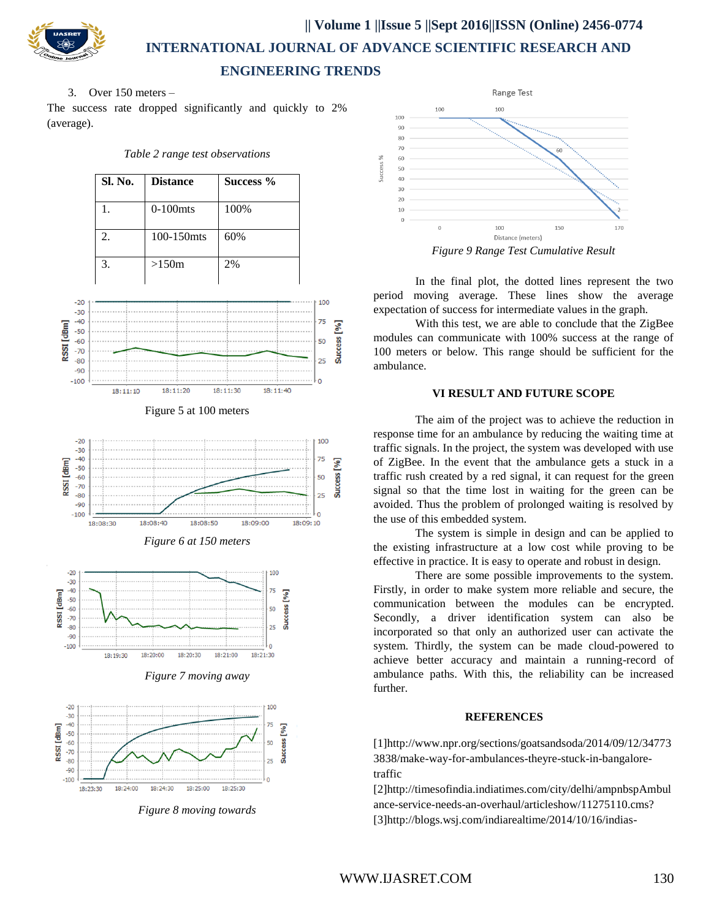

 **|| Volume 1 ||Issue 5 ||Sept 2016||ISSN (Online) 2456-0774**

 **INTERNATIONAL JOURNAL OF ADVANCE SCIENTIFIC RESEARCH AND ENGINEERING TRENDS**

3. Over 150 meters –

The success rate dropped significantly and quickly to 2% (average).

*Table 2 range test observations*









*Figure 7 moving away*



*Figure 8 moving towards*



In the final plot, the dotted lines represent the two period moving average. These lines show the average expectation of success for intermediate values in the graph.

With this test, we are able to conclude that the ZigBee modules can communicate with 100% success at the range of 100 meters or below. This range should be sufficient for the ambulance.

# **VI RESULT AND FUTURE SCOPE**

The aim of the project was to achieve the reduction in response time for an ambulance by reducing the waiting time at traffic signals. In the project, the system was developed with use of ZigBee. In the event that the ambulance gets a stuck in a traffic rush created by a red signal, it can request for the green signal so that the time lost in waiting for the green can be avoided. Thus the problem of prolonged waiting is resolved by the use of this embedded system.

The system is simple in design and can be applied to the existing infrastructure at a low cost while proving to be effective in practice. It is easy to operate and robust in design.

There are some possible improvements to the system. Firstly, in order to make system more reliable and secure, the communication between the modules can be encrypted. Secondly, a driver identification system can also be incorporated so that only an authorized user can activate the system. Thirdly, the system can be made cloud-powered to achieve better accuracy and maintain a running-record of ambulance paths. With this, the reliability can be increased further.

# **REFERENCES**

[1[\]http://www.npr.org/sections/goatsandsoda/2014/09/12/34773](http://www.npr.org/sections/goatsandsoda/2014/09/12/347733838/make-way-for-ambulances-theyre-stuck-in-bangalore-traffic) [3838/make-way-for-ambulances-theyre-stuck-in-bangalore](http://www.npr.org/sections/goatsandsoda/2014/09/12/347733838/make-way-for-ambulances-theyre-stuck-in-bangalore-traffic)[traffic](http://www.npr.org/sections/goatsandsoda/2014/09/12/347733838/make-way-for-ambulances-theyre-stuck-in-bangalore-traffic)

[2]http://timesofindia.indiatimes.com/city/delhi/ampnbspAmbul ance-service-needs-an-overhaul/articleshow/11275110.cms? [3[\]http://blogs.wsj.com/indiarealtime/2014/10/16/indias-](http://blogs.wsj.com/indiarealtime/2014/10/16/indias-%20%20%20ambulance-emergency/)